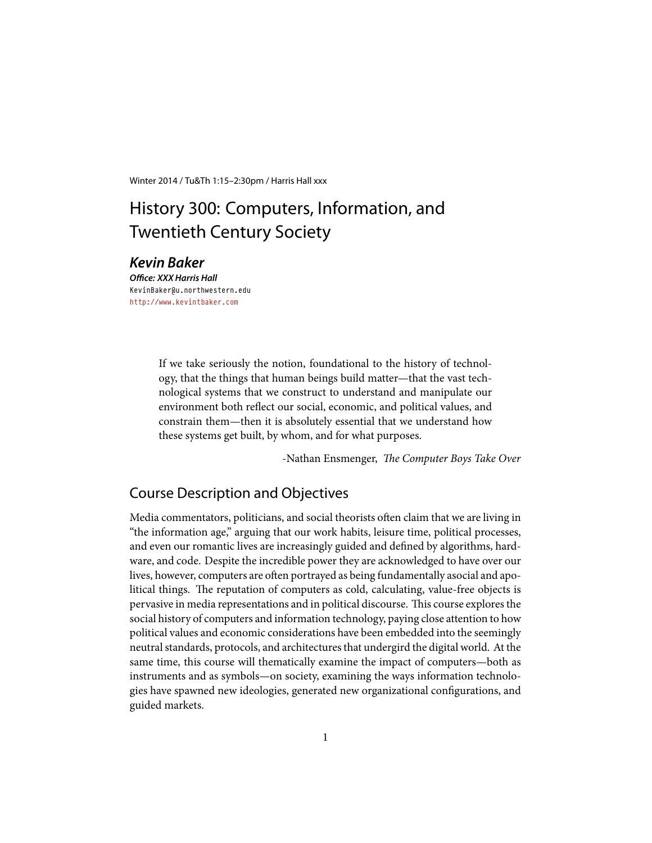Winter 2014 / Tu&Th 1:15–2:30pm / Harris Hall xxx

# History 300: Computers, Information, and Twentieth Century Society

## *Kevin Baker*

*Office: XXX Harris Hall* KevinBaker@u.northwestern.edu <http://www.kevintbaker.com>

> If we take seriously the notion, foundational to the history of technology, that the things that human beings build matter—that the vast technological systems that we construct to understand and manipulate our environment both reflect our social, economic, and political values, and constrain them—then it is absolutely essential that we understand how these systems get built, by whom, and for what purposes.

> > -Nathan Ensmenger, *The Computer Boys Take Over*

## Course Description and Objectives

Media commentators, politicians, and social theorists often claim that we are living in "the information age," arguing that our work habits, leisure time, political processes, and even our romantic lives are increasingly guided and defined by algorithms, hardware, and code. Despite the incredible power they are acknowledged to have over our lives, however, computers are often portrayed as being fundamentally asocial and apolitical things. The reputation of computers as cold, calculating, value-free objects is pervasive in media representations and in political discourse. This course explores the social history of computers and information technology, paying close attention to how political values and economic considerations have been embedded into the seemingly neutral standards, protocols, and architectures that undergird the digital world. At the same time, this course will thematically examine the impact of computers—both as instruments and as symbols—on society, examining the ways information technologies have spawned new ideologies, generated new organizational configurations, and guided markets.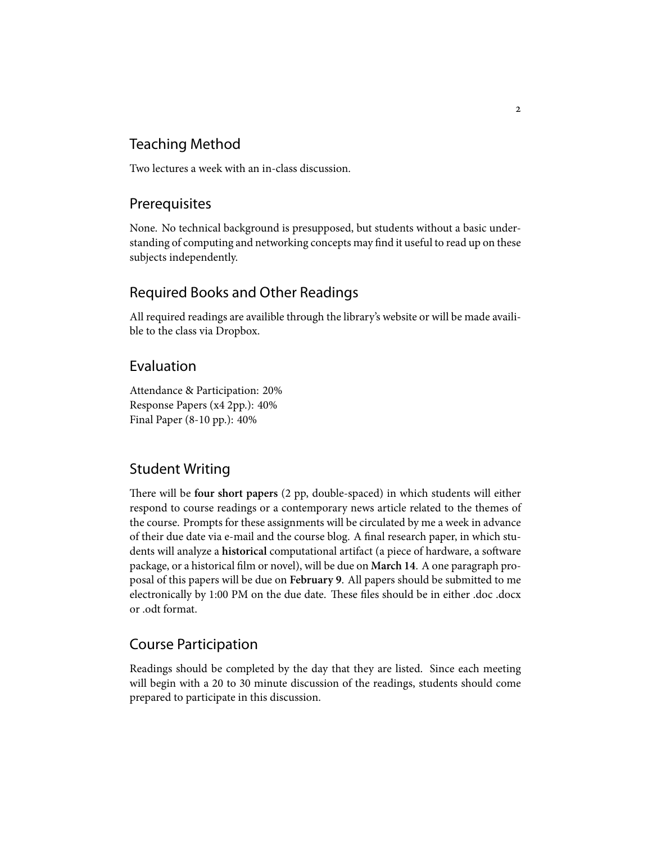## Teaching Method

Two lectures a week with an in-class discussion.

## Prerequisites

None. No technical background is presupposed, but students without a basic understanding of computing and networking concepts may find it useful to read up on these subjects independently.

## Required Books and Other Readings

All required readings are availible through the library's website or will be made availible to the class via Dropbox.

## Evaluation

Attendance & Participation: 20% Response Papers (x4 2pp.): 40% Final Paper (8-10 pp.): 40%

## Student Writing

ere will be **four short papers** (2 pp, double-spaced) in which students will either respond to course readings or a contemporary news article related to the themes of the course. Prompts for these assignments will be circulated by me a week in advance of their due date via e-mail and the course blog. A final research paper, in which students will analyze a **historical** computational artifact (a piece of hardware, a software package, or a historical ĕlm or novel), will be due on **March 14**. A one paragraph proposal of this papers will be due on **February 9**. All papers should be submitted to me electronically by 1:00 PM on the due date. These files should be in either .doc .docx or .odt format.

## Course Participation

Readings should be completed by the day that they are listed. Since each meeting will begin with a 20 to 30 minute discussion of the readings, students should come prepared to participate in this discussion.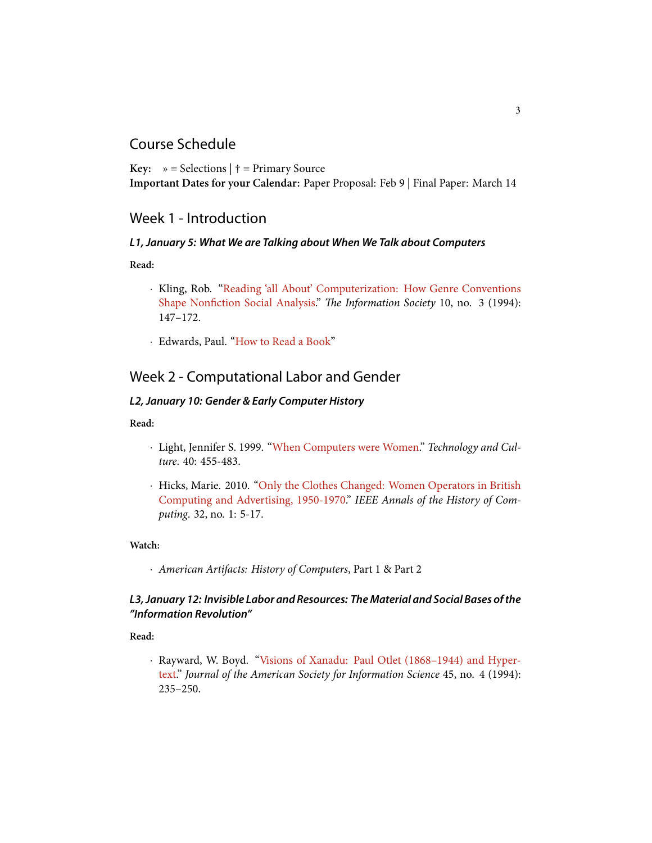## Course Schedule

**Key:**  $\rightarrow$  = Selections  $\dagger$  = Primary Source **Important Dates for your Calendar:** Paper Proposal: Feb 9 | Final Paper: March 14

## Week 1 - Introduction

### *L1, January 5: What We are Talking about When We Talk about Computers*

**Read:**

- *·* Kling, Rob."[Reading 'all About' Computerization: How Genre Conventions](http://www.douri.sh/classes/readings/Kling-GenreConventions.pdf) Shape Nonfiction Social Analysis." *The Information Society* 10, no. 3 (1994): 147–172.
- *·* Edwards, Paul."[How to Read a Book"](http://pne.people.si.umich.edu/PDF/howtoread.pdf)

## Week 2 - Computational Labor and Gender

### *L2, January 10: Gender & Early Computer History*

**Read:**

- *·* Light, Jennifer S. 1999."[When Computers were Women.](https://muse.jhu.edu/login?auth=0&type=summary&url=/journals/technology_and_culture/v040/40.3light.html)" *Technology and Culture*. 40: 455-483.
- *·* Hicks, Marie. 2010."[Only the Clothes Changed: Women Operators in British](http://www.computer.org/csdl/mags/an/2010/04/man2010040005-abs.html) [Computing and Advertising, 1950-1970.](http://www.computer.org/csdl/mags/an/2010/04/man2010040005-abs.html)" *IEEE Annals of the History of Computing*. 32, no. 1: 5-17.

**Watch:**

*· American Artifacts: History of Computers*, Part 1 & Part 2

### *L3, January 12: Invisible Labor and Resources: The Material and Social Bases of the "Information Revolution"*

**Read:**

*·* Rayward, W. Boyd."[Visions of Xanadu: Paul Otlet \(1868–1944\) and Hyper](http://people.lis.illinois.edu/~wrayward/otlet/xanadu.htm)[text](http://people.lis.illinois.edu/~wrayward/otlet/xanadu.htm)." *Journal of the American Society for Information Science* 45, no. 4 (1994): 235–250.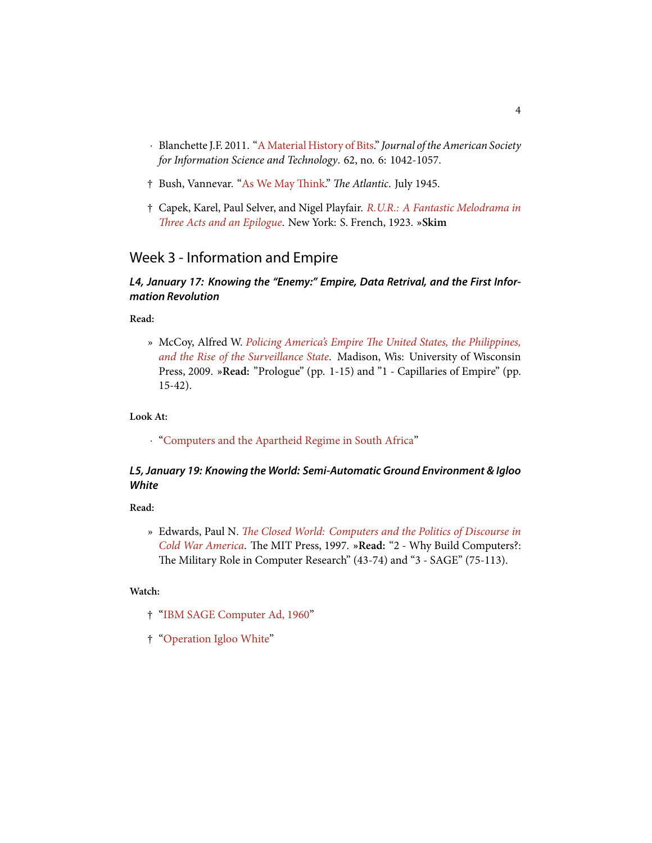- *·* Blanchette J.F. 2011."[A Material History of Bits](http://onlinelibrary.wiley.com/doi/10.1002/asi.21542/abstract;jsessionid=EF58B9E7C5A133BE9196593CA4435A0A.d01t03)." *Journal of the American Society for Information Science and Technology*. 62, no. 6: 1042-1057.
- $\dagger$  Bush, Vannevar. "As We May Think." *The Atlantic*. July 1945.
- † Capek, Karel, Paul Selver, and Nigel Playfair. *[R.U.R.: A Fantastic Melodrama in](http://ebooks.adelaide.edu.au/c/capek/karel/rur/contents.html) Th[ree Acts and an Epilogue](http://ebooks.adelaide.edu.au/c/capek/karel/rur/contents.html)*. New York: S. French, 1923. »Skim

## Week 3 - Information and Empire

#### *L4, January 17: Knowing the "Enemy:" Empire, Data Retrival, and the First Information Revolution*

**Read:**

» McCoy, Alfred W. *[Policing America's Empire e United States, the Philippines,](http://site.ebrary.com/id/10348735) [and the Rise of the Surveillance State](http://site.ebrary.com/id/10348735)*. Madison, Wis: University of Wisconsin Press, 2009. **»Read:** "Prologue" (pp. 1-15) and "1 - Capillaries of Empire" (pp. 15-42).

**Look At:**

*·* ["Computers and the Apartheid Regime in South Africa"](http://www-cs-students.stanford.edu/~cale/cs201/)

#### *L5, January 19: Knowing the World: Semi-Automatic Ground Environment & Igloo White*

**Read:**

» Edwards, Paul N. *Th[e Closed World: Computers and the Politics of Discourse in](http://www.worldcat.org/title/closed-world-computers-and-the-politics-of-discourse-in-cold-war-america/) [Cold War America](http://www.worldcat.org/title/closed-world-computers-and-the-politics-of-discourse-in-cold-war-america/)*. The MIT Press, 1997. »Read: "2 - Why Build Computers?: e Military Role in Computer Research" (43-74) and "3 - SAGE" (75-113).

**Watch:**

- † ["IBM SAGE Computer Ad, 1960"](http://www.youtube.com/watch?v=iCCL4INQcFo)
- † ["Operation Igloo White"](http://www.youtube.com/watch?v=JbO30to1f60)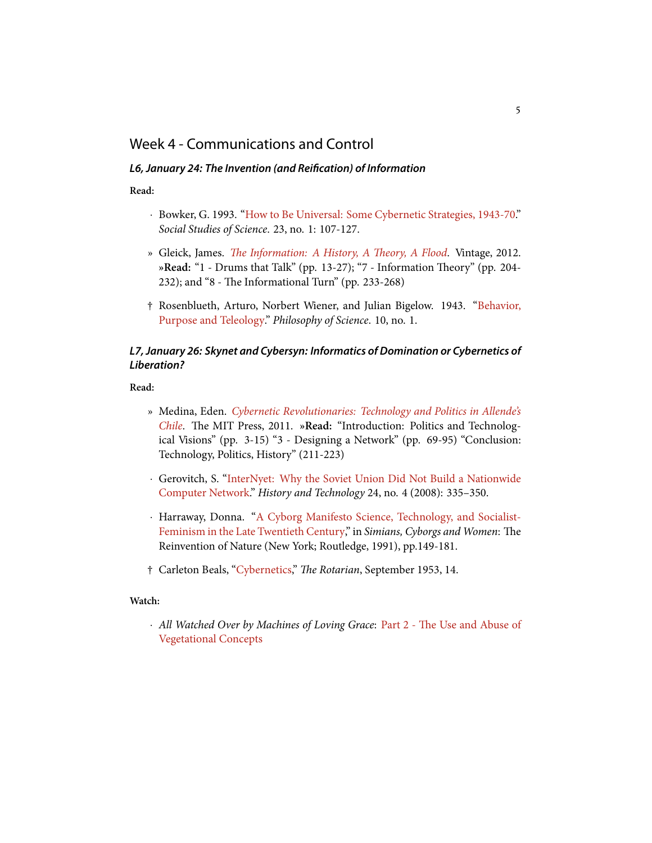## Week 4 - Communications and Control

#### *L6, January 24: The Invention (and Reiöcation) of Information*

**Read:**

- *·* Bowker, G. 1993. ["How to Be Universal: Some Cybernetic Strategies, 1943-70](http://sss.sagepub.com/content/23/1/107)." *Social Studies of Science*. 23, no. 1: 107-127.
- » Gleick, James. *The Information: A History, A Theory, A Flood*. Vintage, 2012. »Read: "1 - Drums that Talk" (pp. 13-27); "7 - Information Theory" (pp. 204- $232$ ); and "8 - The Informational Turn" (pp. 233-268)
- † Rosenblueth, Arturo, Norbert Wiener, and Julian Bigelow. 1943."[Behavior,](http://www.jstor.org/discover/10.2307/184878) [Purpose and Teleology.](http://www.jstor.org/discover/10.2307/184878)" *Philosophy of Science*. 10, no. 1.

### *L7, January 26: Skynet and Cybersyn: Informatics of Domination or Cybernetics of Liberation?*

**Read:**

- » Medina, Eden. *[Cybernetic Revolutionaries: Technology and Politics in Allende's](http://www.worldcat.org/title/cybernetic-revolutionaries-technology-and-politics-in-allendes-chile/) [Chile](http://www.worldcat.org/title/cybernetic-revolutionaries-technology-and-politics-in-allendes-chile/)*. The MIT Press, 2011. »Read: "Introduction: Politics and Technological Visions" (pp. 3-15) "3 - Designing a Network" (pp. 69-95) "Conclusion: Technology, Politics, History" (211-223)
- *·* Gerovitch, S. ["InterNyet: Why the Soviet Union Did Not Build a Nationwide](http://web.mit.edu/slava/homepage/articles/Gerovitch-InterNyet.pdf) [Computer Network](http://web.mit.edu/slava/homepage/articles/Gerovitch-InterNyet.pdf)." *History and Technology* 24, no. 4 (2008): 335–350.
- *·* Harraway, Donna. ["A Cyborg Manifesto Science, Technology, and Socialist-](http://www9.georgetown.edu/faculty/irvinem/theory/Haraway-CyborgManifesto.html)[Feminism in the Late Twentieth Century,](http://www9.georgetown.edu/faculty/irvinem/theory/Haraway-CyborgManifesto.html)" in *Simians, Cyborgs and Women*: The Reinvention of Nature (New York; Routledge, 1991), pp.149-181.
- † Carleton Beals,"[Cybernetics]( http://books.google.com/books?id=QUYEAAAAMBAJ&lpg=PP1&lr&rview=1&pg=PA14#v=onepage&q&f=false)," *e Rotarian*, September 1953, 14.

#### **Watch:**

*•* All Watched Over by Machines of Loving Grace: Part 2 - The Use and Abuse of [Vegetational Concepts](http://www.vimeo.com/29875053)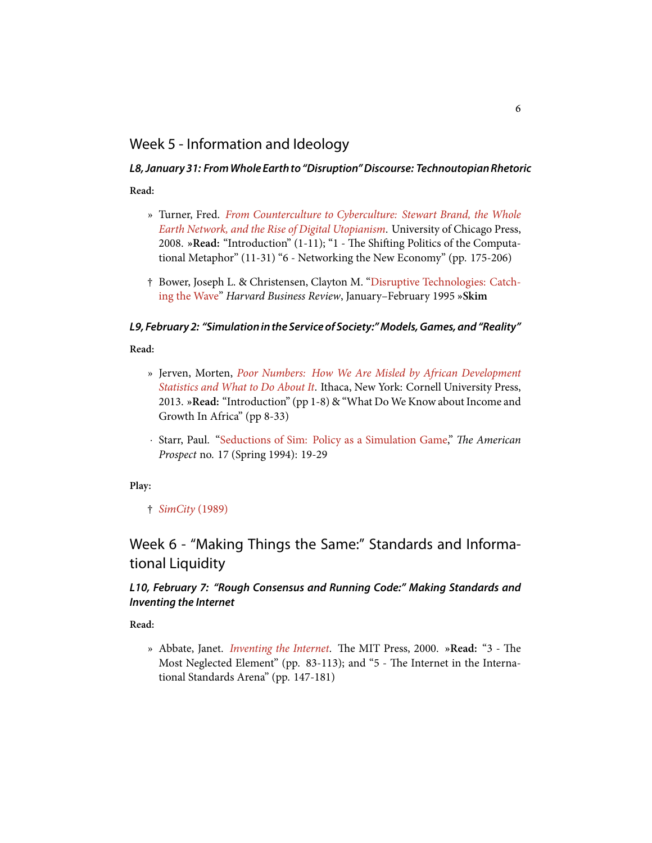## Week 5 - Information and Ideology

## *L8, January 31: FromWholeEarth to "Disruption"Discourse: Technoutopian Rhetoric*

**Read:**

- » Turner, Fred. *[From Counterculture to Cyberculture: Stewart Brand, the Whole](http://www.worldcat.org/title/from-counterculture-to-cyberculture-stewart-brand-the-whole-earth-network-and-the-rise-of-digital-utopianism/) [Earth Network, and the Rise of Digital Utopianism](http://www.worldcat.org/title/from-counterculture-to-cyberculture-stewart-brand-the-whole-earth-network-and-the-rise-of-digital-utopianism/)*. University of Chicago Press, 2008. »Read: "Introduction" (1-11); "1 - The Shifting Politics of the Computational Metaphor" (11-31) "6 - Networking the New Economy" (pp. 175-206)
- † Bower, Joseph L. & Christensen, Clayton M. ["Disruptive Technologies: Catch](http://hbr.org/1995/01/disruptive-technologies-catching-the-wave/)[ing the Wave](http://hbr.org/1995/01/disruptive-technologies-catching-the-wave/)" *Harvard Business Review*, January–February 1995 **»Skim**

### *L9, February 2: "Simulation in the Service of Society:"Models, Games, and "Reality"*

**Read:**

- » Jerven, Morten, *[Poor Numbers: How We Are Misled by African Development](http://www.worldcat.org/title/poor-numbers-how-we-are-misled-by-african-development-statistics-and-what-to-do-about-it/oclc/821538989?referer=br&ht=edition) [Statistics and What to Do About It](http://www.worldcat.org/title/poor-numbers-how-we-are-misled-by-african-development-statistics-and-what-to-do-about-it/oclc/821538989?referer=br&ht=edition)*. Ithaca, New York: Cornell University Press, 2013. **»Read:** "Introduction" (pp 1-8) & "What Do We Know about Income and Growth In Africa" (pp 8-33)
- *·*Starr, Paul. "[Seductions of Sim: Policy as a Simulation Game](http://www.princeton.edu/~starr/17star.html)," *The American Prospect* no. 17 (Spring 1994): 19-29

**Play:**

† *[SimCity](http://www.classicdosgames.com/online/citydemo.html)* (1989)

## Week 6 - "Making Things the Same:" Standards and Informational Liquidity

### *L10, February 7: "Rough Consensus and Running Code:" Making Standards and Inventing the Internet*

**Read:**

» Abbate, Janet. *[Inventing the Internet](http://www.worldcat.org/title/inventing-the-internet/)*. The MIT Press, 2000. »Read: "3 - The Most Neglected Element" (pp. 83-113); and "5 - The Internet in the International Standards Arena" (pp. 147-181)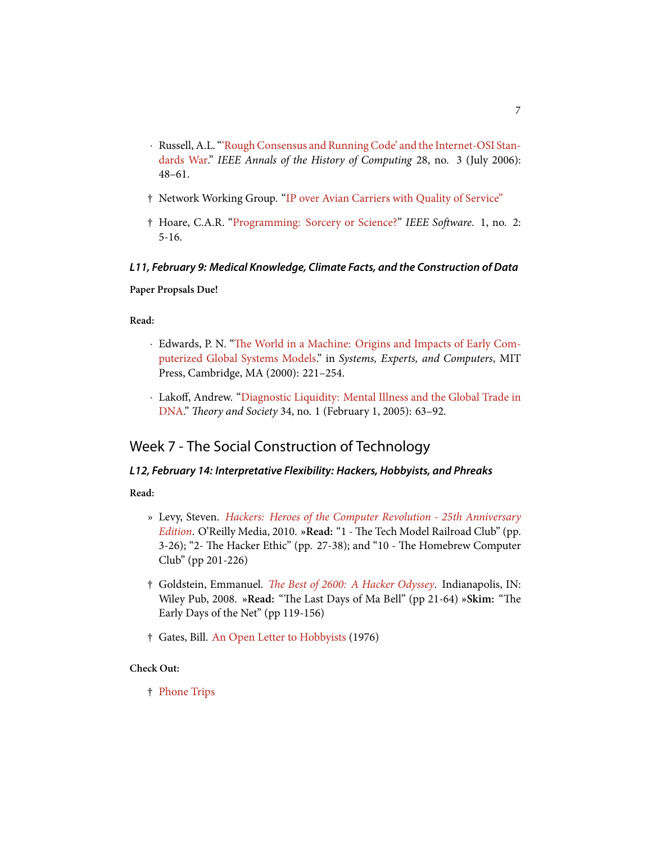- *·* Russell, A.L. ["'Rough Consensus and Running Code' and the Internet-OSI Stan](http://www.computer.org/csdl/mags/an/2006/03/man2006030048-abs.html)[dards War](http://www.computer.org/csdl/mags/an/2006/03/man2006030048-abs.html)." *IEEE Annals of the History of Computing* 28, no. 3 (July 2006): 48–61.
- † Network Working Group."[IP over Avian Carriers with Quality of Service"](http://tools.ietf.org/html/rfc2549)
- † Hoare, C.A.R."[Programming: Sorcery or Science?](http://ieeexplore.ieee.org/xpl/articleDetails.jsp?arnumber=1695125)" *IEEE Soware*. 1, no. 2: 5-16.

### *L11, February 9: Medical Knowledge, Climate Facts, and the Construction of Data*

#### **Paper Propsals Due!**

**Read:**

- *·* Edwards, P. N. "The World in a Machine: Origins and Impacts of Early Com[puterized Global Systems Models](http://www.worldcat.org/title/systems-experts-and-computers-the-systems-approach-in-management-and-engineering-world-war-ii-and-after/oclc/51938329&referer=brief_results)." in *Systems, Experts, and Computers*, MIT Press, Cambridge, MA (2000): 221–254.
- *·* Lakoff, Andrew. ["Diagnostic Liquidity: Mental Illness and the Global Trade in](http://www.jstor.org/stable/4501714) [DNA](http://www.jstor.org/stable/4501714)." *Theory and Society* 34, no. 1 (February 1, 2005): 63-92.

## Week 7 - The Social Construction of Technology

### *L12, February 14: Interpretative Flexibility: Hackers, Hobbyists, and Phreaks*

**Read:**

- » Levy, Steven. *[Hackers: Heroes of the Computer Revolution 25th Anniversary](http://www.worldcat.org/title/hackers-heroes-of-the-computer-revolution/oclc/699724515&referer=brief_results) [Edition](http://www.worldcat.org/title/hackers-heroes-of-the-computer-revolution/oclc/699724515&referer=brief_results)*. O'Reilly Media, 2010. »Read: "1 - The Tech Model Railroad Club" (pp. 3-26); "2- The Hacker Ethic" (pp. 27-38); and "10 - The Homebrew Computer Club" (pp 201-226)
- † Goldstein, Emmanuel. *[e Best of 2600: A Hacker Odyssey](http://www.worldcat.org/title/best-of-2600-a-hacker-odyssey/oclc/646761875&referer=brief_results)*. Indianapolis, IN: Wiley Pub, 2008. »Read: "The Last Days of Ma Bell" (pp 21-64) »Skim: "The Early Days of the Net" (pp 119-156)
- † Gates, Bill. [An Open Letter to Hobbyists](http://upload.wikimedia.org/wikipedia/commons/1/14/Bill_Gates_Letter_to_Hobbyists.jpg) (1976)

#### **Check Out:**

† [Phone Trips](http://www.wideweb.com/phonetrips)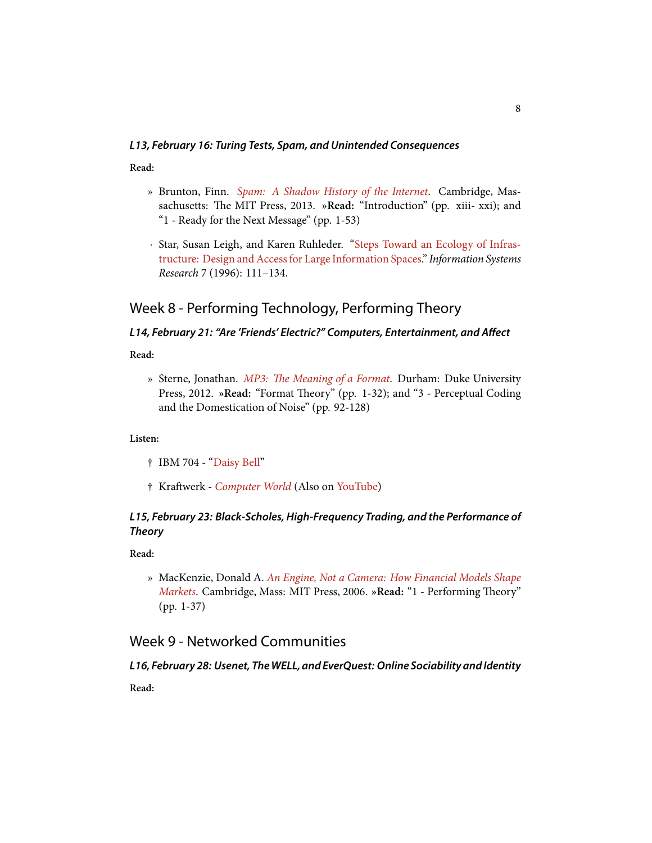#### *L13, February 16: Turing Tests, Spam, and Unintended Consequences*

**Read:**

- » Brunton, Finn. *[Spam: A Shadow History of the Internet](http://www.worldcat.org/title/spam-a-shadow-history-of-the-internet/oclc/838102023&referer=brief_results)*. Cambridge, Massachusetts: The MIT Press, 2013. »Read: "Introduction" (pp. xiii- xxi); and "1 - Ready for the Next Message" (pp. 1-53)
- *·* Star, Susan Leigh, and Karen Ruhleder. ["Steps Toward an Ecology of Infras](http://www.uio.no/studier/emner/matnat/ifi/INF3290/h12/undervisningsmateriale/artikler/starruhlederecologyofinfrastructure1996.pdf)[tructure: Design and Access for Large Information Spaces.](http://www.uio.no/studier/emner/matnat/ifi/INF3290/h12/undervisningsmateriale/artikler/starruhlederecologyofinfrastructure1996.pdf)" *Information Systems Research* 7 (1996): 111–134.

## Week 8 - Performing Technology, Performing Theory

## *L14, February 21: "Are 'Friends' Electric?" Computers, Entertainment, and Affect*

**Read:**

» Sterne, Jonathan. *MP3: The Meaning of a Format*. Durham: Duke University Press, 2012. »Read: "Format Theory" (pp. 1-32); and "3 - Perceptual Coding and the Domestication of Noise" (pp. 92-128)

**Listen:**

- † IBM 704 - ["Daisy Bell](https://www.youtube.com/watch?v=41U78QP8nBk)"
- $\dagger$  Kraftwerk *[Computer World](https://play.spotify.com/album/7BaZFI0ytbAgf65WPig7GB)* (Also on [YouTube\)](http://www.youtube.com/watch?v=r50oC-pTL0I&list=PL32092E7FC42E84DB)

### *L15, February 23: Black-Scholes, High-Frequency Trading, and the Performance of Theory*

**Read:**

» MacKenzie, Donald A. *[An Engine, Not a Camera: How Financial Models Shape](http://www.worldcat.org/title/engine-not-a-camera-how-financial-models-shape-markets/oclc/69662285&referer=brief_results) [Markets](http://www.worldcat.org/title/engine-not-a-camera-how-financial-models-shape-markets/oclc/69662285&referer=brief_results)*. Cambridge, Mass: MIT Press, 2006. »Read: "1 - Performing Theory" (pp. 1-37)

## Week 9 - Networked Communities

### *L16, February 28: Usenet, TheWELL, and EverQuest: Online Sociability and Identity*

**Read:**